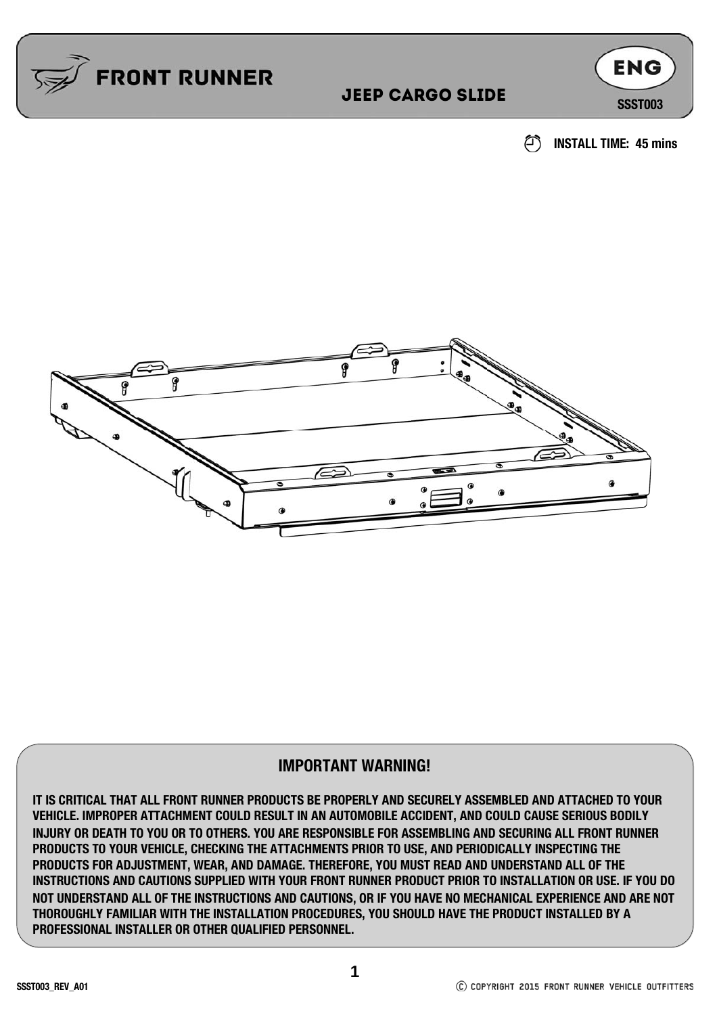

#### **JEEP CARGO SLIDE** SSSST003

**ENG** 





#### **IMPORTANT WARNING!**

**IT IS CRITICAL THAT ALL FRONT RUNNER PRODUCTS BE PROPERLY AND SECURELY ASSEMBLED AND ATTACHED TO YOUR VEHICLE. IMPROPER ATTACHMENT COULD RESULT IN AN AUTOMOBILE ACCIDENT, AND COULD CAUSE SERIOUS BODILY INJURY OR DEATH TO YOU OR TO OTHERS. YOU ARE RESPONSIBLE FOR ASSEMBLING AND SECURING ALL FRONT RUNNER PRODUCTS TO YOUR VEHICLE, CHECKING THE ATTACHMENTS PRIOR TO USE, AND PERIODICALLY INSPECTING THE PRODUCTS FOR ADJUSTMENT, WEAR, AND DAMAGE. THEREFORE, YOU MUST READ AND UNDERSTAND ALL OF THE INSTRUCTIONS AND CAUTIONS SUPPLIED WITH YOUR FRONT RUNNER PRODUCT PRIOR TO INSTALLATION OR USE. IF YOU DO NOT UNDERSTAND ALL OF THE INSTRUCTIONS AND CAUTIONS, OR IF YOU HAVE NO MECHANICAL EXPERIENCE AND ARE NOT THOROUGHLY FAMILIAR WITH THE INSTALLATION PROCEDURES, YOU SHOULD HAVE THE PRODUCT INSTALLED BY A PROFESSIONAL INSTALLER OR OTHER QUALIFIED PERSONNEL.**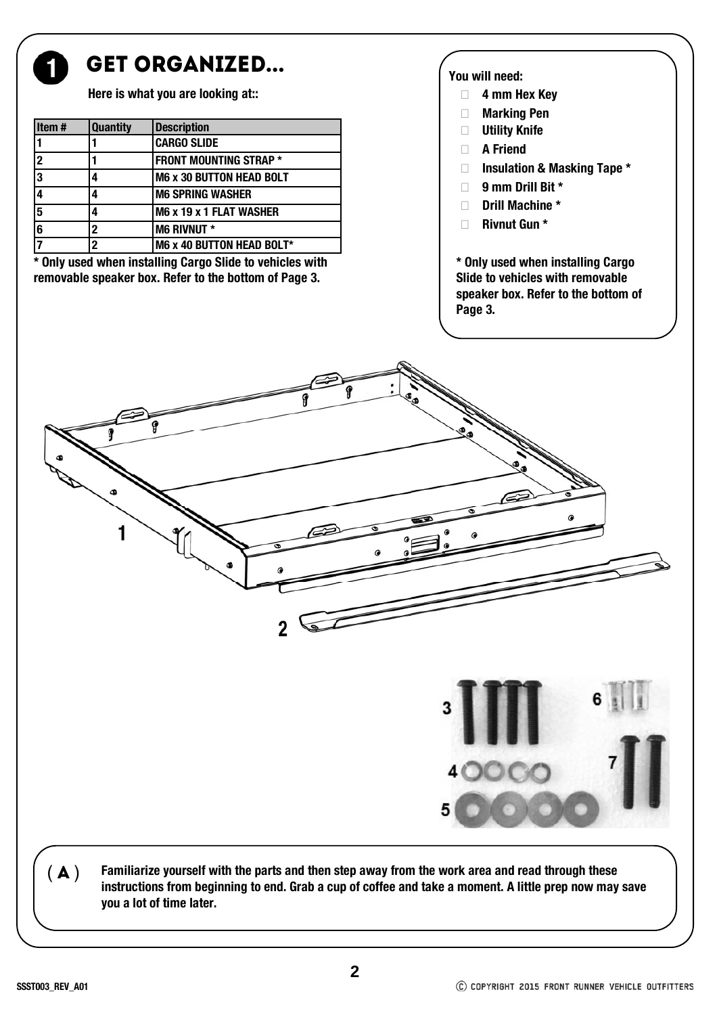

#### GET ORGANIZED...

**Here is what you are looking at::** 

| Item# | <b>Quantity</b> | <b>Description</b>              |
|-------|-----------------|---------------------------------|
|       |                 | <b>CARGO SLIDE</b>              |
| 2     |                 | <b>FRONT MOUNTING STRAP *</b>   |
| 3     |                 | <b>M6 x 30 BUTTON HEAD BOLT</b> |
|       |                 | <b>M6 SPRING WASHER</b>         |
| 5     |                 | M6 x 19 x 1 FLAT WASHER         |
| 6     | 2               | <b>M6 RIVNUT *</b>              |
|       | 2               | M6 x 40 BUTTON HEAD BOLT*       |

**\* Only used when installing Cargo Slide to vehicles with removable speaker box. Refer to the bottom of Page 3.**

#### **You will need:**

- **4 mm Hex Key**
- **Marking Pen**
- **Utility Knife**
- **A Friend**
- **Insulation & Masking Tape \***
- **9 mm Drill Bit \***
- **Drill Machine \***
- **Rivnut Gun \***

**\* Only used when installing Cargo Slide to vehicles with removable speaker box. Refer to the bottom of Page 3.**

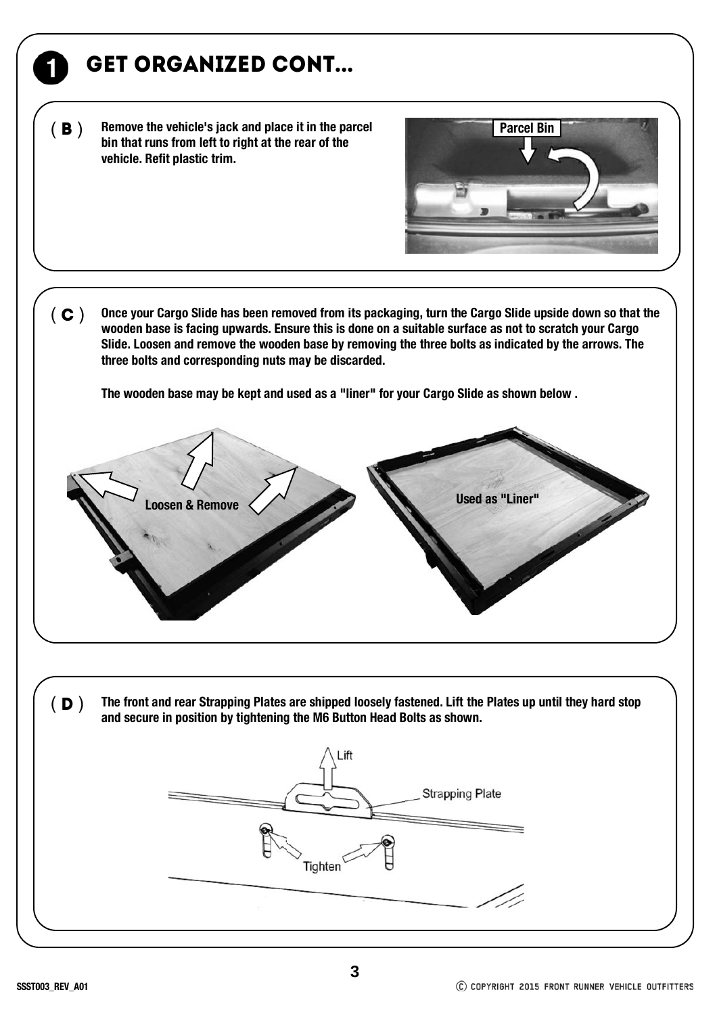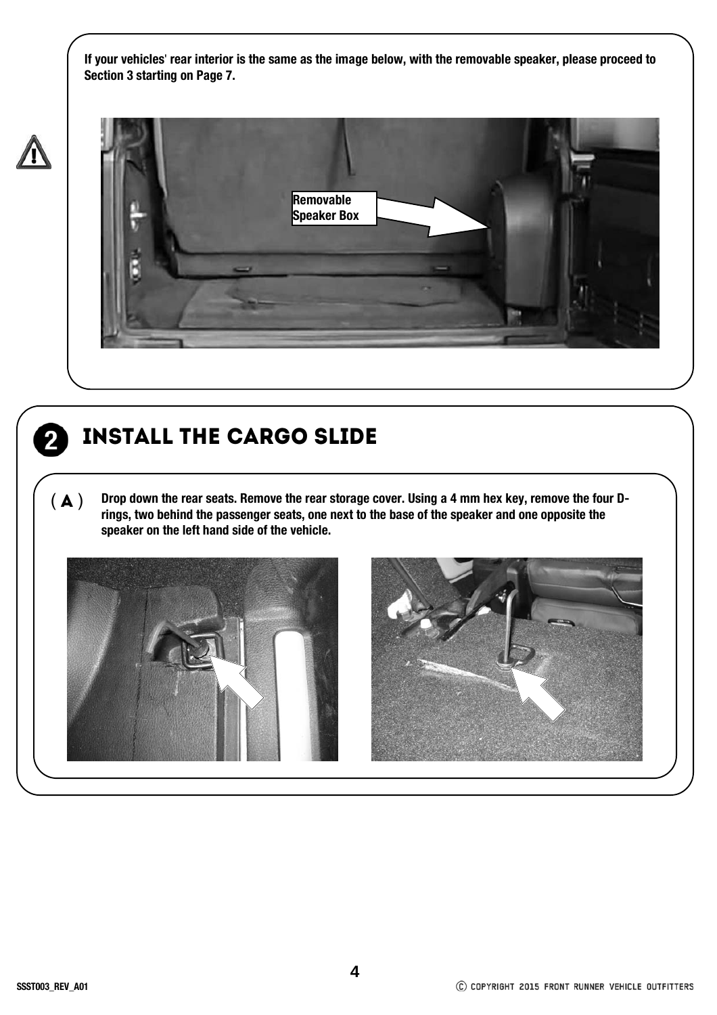**If your vehicles**' **rear interior is the same as the image below, with the removable speaker, please proceed to Section 3 starting on Page 7.**





#### Install The Cargo Slide

( $\blacktriangle$ ) Drop down the rear seats. Remove the rear storage cover. Using a 4 mm hex key, remove the four D**rings, two behind the passenger seats, one next to the base of the speaker and one opposite the speaker on the left hand side of the vehicle.** 



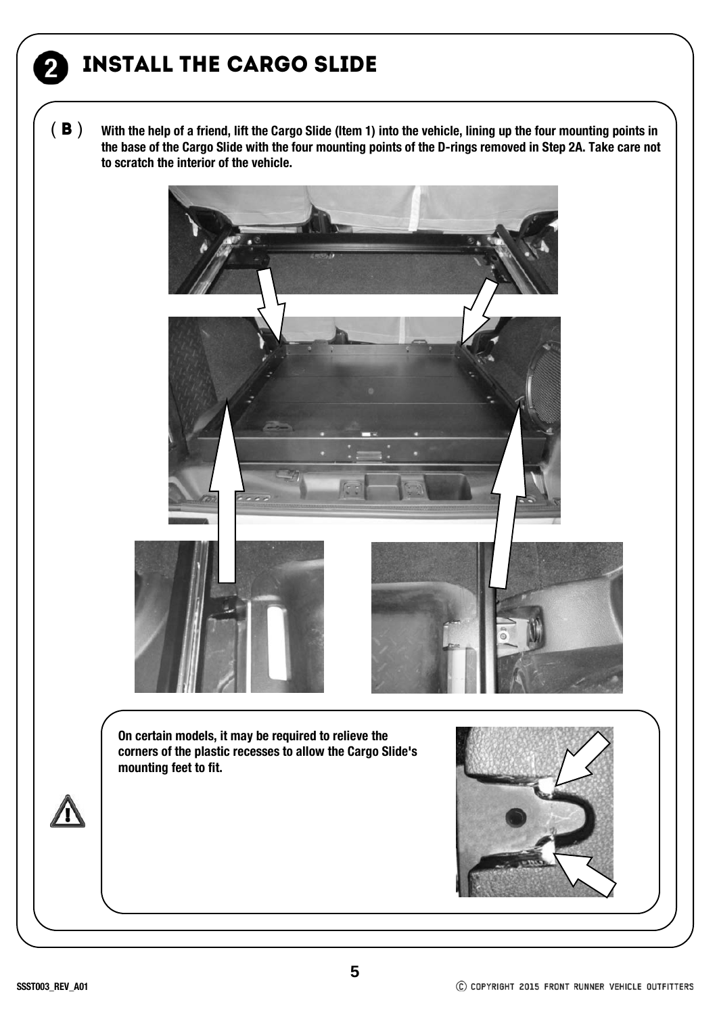## Install The Cargo Slide

( **B** ) With the help of a friend, lift the Cargo Slide (Item 1) into the vehicle, lining up the four mounting points in **the base of the Cargo Slide with the four mounting points of the D-rings removed in Step 2A. Take care not to scratch the interior of the vehicle.**

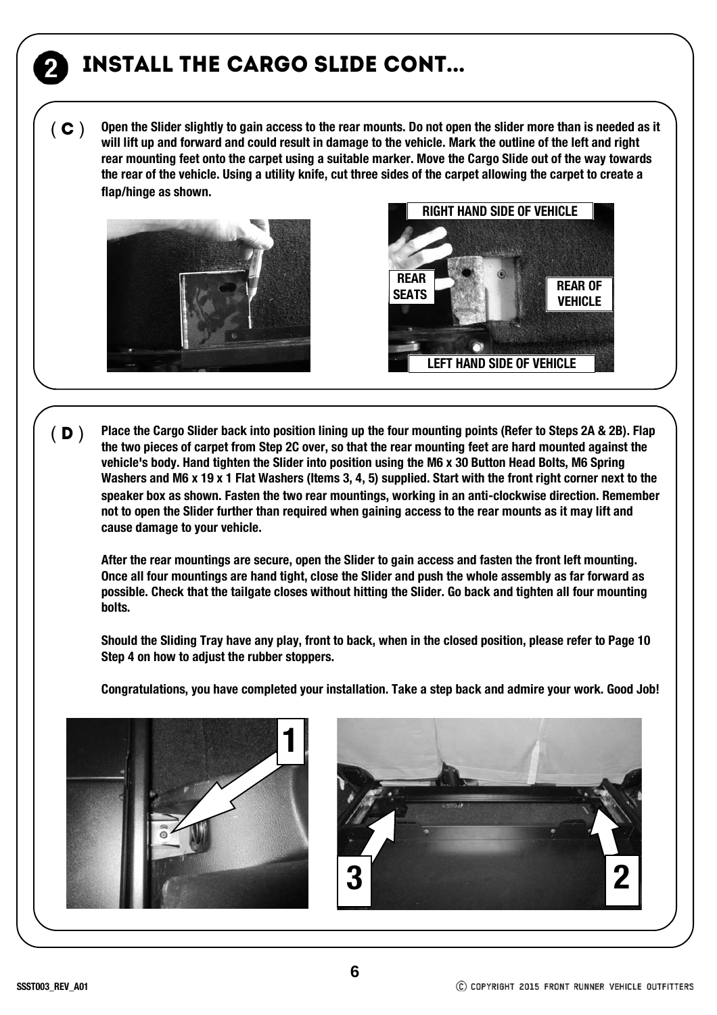## Install The Cargo Slide cont...

**Open the Slider slightly to gain access to the rear mounts. Do not open the slider more than is needed as it will lift up and forward and could result in damage to the vehicle. Mark the outline of the left and right rear mounting feet onto the carpet using a suitable marker. Move the Cargo Slide out of the way towards the rear of the vehicle. Using a utility knife, cut three sides of the carpet allowing the carpet to create a flap/hinge as shown.**  $(C)$ 





**Place the Cargo Slider back into position lining up the four mounting points (Refer to Steps 2A & 2B). Flap the two pieces of carpet from Step 2C over, so that the rear mounting feet are hard mounted against the vehicle's body. Hand tighten the Slider into position using the M6 x 30 Button Head Bolts, M6 Spring Washers and M6 x 19 x 1 Flat Washers (Items 3, 4, 5) supplied. Start with the front right corner next to the speaker box as shown. Fasten the two rear mountings, working in an anti-clockwise direction. Remember not to open the Slider further than required when gaining access to the rear mounts as it may lift and cause damage to your vehicle.**   $(D)$ 

**After the rear mountings are secure, open the Slider to gain access and fasten the front left mounting. Once all four mountings are hand tight, close the Slider and push the whole assembly as far forward as possible. Check that the tailgate closes without hitting the Slider. Go back and tighten all four mounting bolts.**

**Should the Sliding Tray have any play, front to back, when in the closed position, please refer to Page 10 Step 4 on how to adjust the rubber stoppers.**

**Congratulations, you have completed your installation. Take a step back and admire your work. Good Job!**



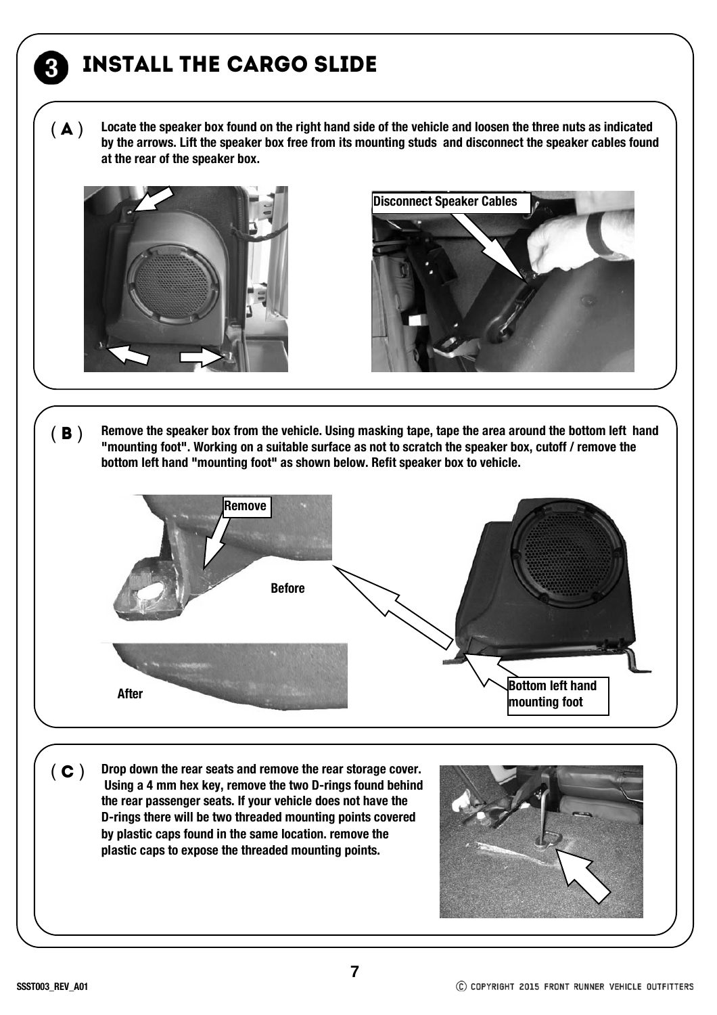# Install The Cargo Slide

**Locate the speaker box found on the right hand side of the vehicle and loosen the three nuts as indicated by the arrows. Lift the speaker box free from its mounting studs and disconnect the speaker cables found at the rear of the speaker box.**  $(\bigwedge)$ 



3



(**B**) Remove the speaker box from the vehicle. Using masking tape, tape the area around the bottom left hand **"mounting foot". Working on a suitable surface as not to scratch the speaker box, cutoff / remove the bottom left hand "mounting foot" as shown below. Refit speaker box to vehicle.**



( C ) **Drop down the rear seats and remove the rear storage cover. Using a 4 mm hex key, remove the two D-rings found behind the rear passenger seats. If your vehicle does not have the D-rings there will be two threaded mounting points covered by plastic caps found in the same location. remove the plastic caps to expose the threaded mounting points.**



**SSST003\_REV\_A01**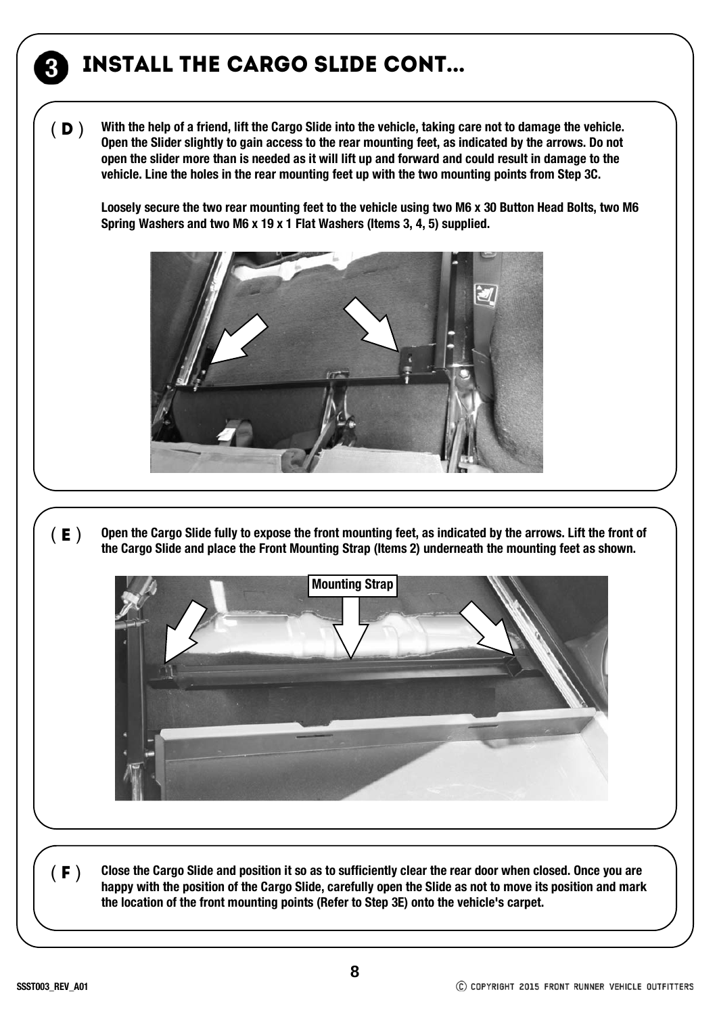## Install The Cargo Slide cont...

**With the help of a friend, lift the Cargo Slide into the vehicle, taking care not to damage the vehicle. Open the Slider slightly to gain access to the rear mounting feet, as indicated by the arrows. Do not open the slider more than is needed as it will lift up and forward and could result in damage to the vehicle. Line the holes in the rear mounting feet up with the two mounting points from Step 3C.**   $(D)$ 

**Loosely secure the two rear mounting feet to the vehicle using two M6 x 30 Button Head Bolts, two M6 Spring Washers and two M6 x 19 x 1 Flat Washers (Items 3, 4, 5) supplied.**



(E) Open the Cargo Slide fully to expose the front mounting feet, as indicated by the arrows. Lift the front of the Cargo Slide and place the Front Mounting Strap (Items 2) underneath the mounting feet as shown.



**Close the Cargo Slide and position it so as to sufficiently clear the rear door when closed. Once you are happy with the position of the Cargo Slide, carefully open the Slide as not to move its position and mark the location of the front mounting points (Refer to Step 3E) onto the vehicle's carpet.** 

 $(F)$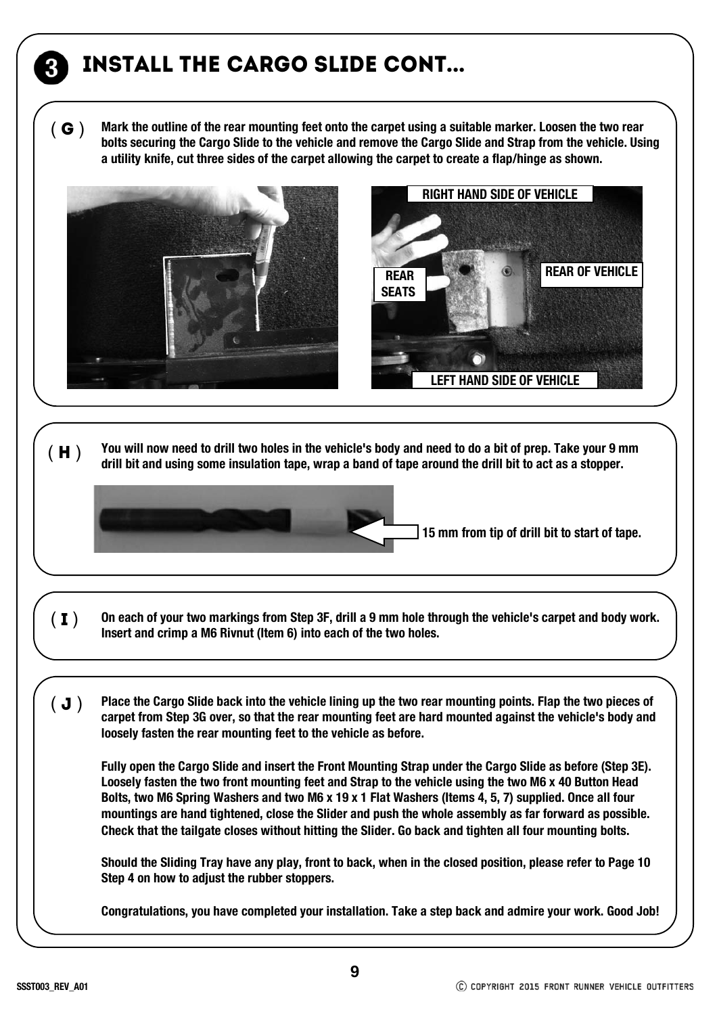# Install The Cargo Slide cont...

**Mark the outline of the rear mounting feet onto the carpet using a suitable marker. Loosen the two rear bolts securing the Cargo Slide to the vehicle and remove the Cargo Slide and Strap from the vehicle. Using a utility knife, cut three sides of the carpet allowing the carpet to create a flap/hinge as shown.**   $G()$ 



( H ) **You will now need to drill two holes in the vehicle's body and need to do a bit of prep. Take your 9 mm drill bit and using some insulation tape, wrap a band of tape around the drill bit to act as a stopper.**

**15 mm from tip of drill bit to start of tape.**

- (**I**) On each of your two markings from Step 3F, drill a 9 mm hole through the vehicle's carpet and body work.<br>Insert and crimp a M6 Rivnut (Item 6) into each of the two holes.
- **Place the Cargo Slide back into the vehicle lining up the two rear mounting points. Flap the two pieces of carpet from Step 3G over, so that the rear mounting feet are hard mounted against the vehicle's body and loosely fasten the rear mounting feet to the vehicle as before.**  $(J)$

**Fully open the Cargo Slide and insert the Front Mounting Strap under the Cargo Slide as before (Step 3E). Loosely fasten the two front mounting feet and Strap to the vehicle using the two M6 x 40 Button Head Bolts, two M6 Spring Washers and two M6 x 19 x 1 Flat Washers (Items 4, 5, 7) supplied. Once all four mountings are hand tightened, close the Slider and push the whole assembly as far forward as possible. Check that the tailgate closes without hitting the Slider. Go back and tighten all four mounting bolts.**

**Should the Sliding Tray have any play, front to back, when in the closed position, please refer to Page 10 Step 4 on how to adjust the rubber stoppers.**

**Congratulations, you have completed your installation. Take a step back and admire your work. Good Job!**

**9**